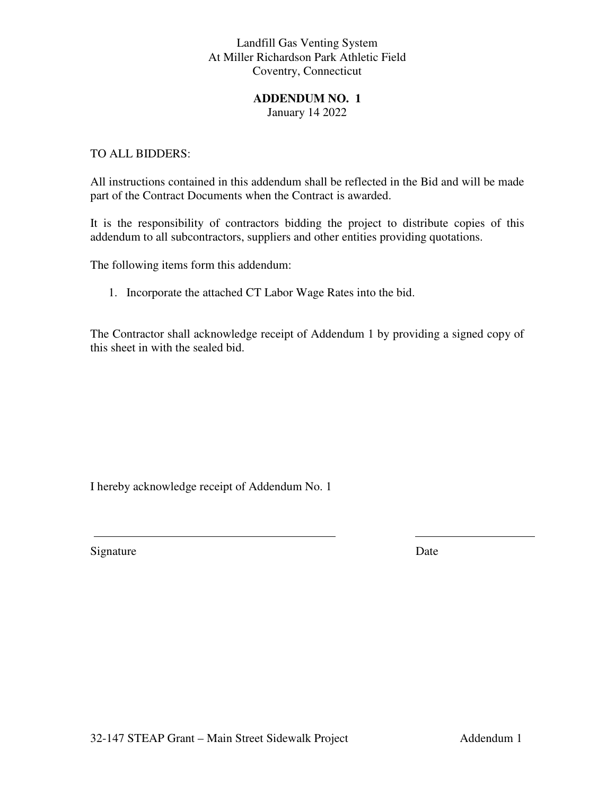# Landfill Gas Venting System At Miller Richardson Park Athletic Field Coventry, Connecticut

### **ADDENDUM NO. 1**

January 14 2022

## TO ALL BIDDERS:

All instructions contained in this addendum shall be reflected in the Bid and will be made part of the Contract Documents when the Contract is awarded.

It is the responsibility of contractors bidding the project to distribute copies of this addendum to all subcontractors, suppliers and other entities providing quotations.

The following items form this addendum:

1. Incorporate the attached CT Labor Wage Rates into the bid.

The Contractor shall acknowledge receipt of Addendum 1 by providing a signed copy of this sheet in with the sealed bid.

I hereby acknowledge receipt of Addendum No. 1

Signature Date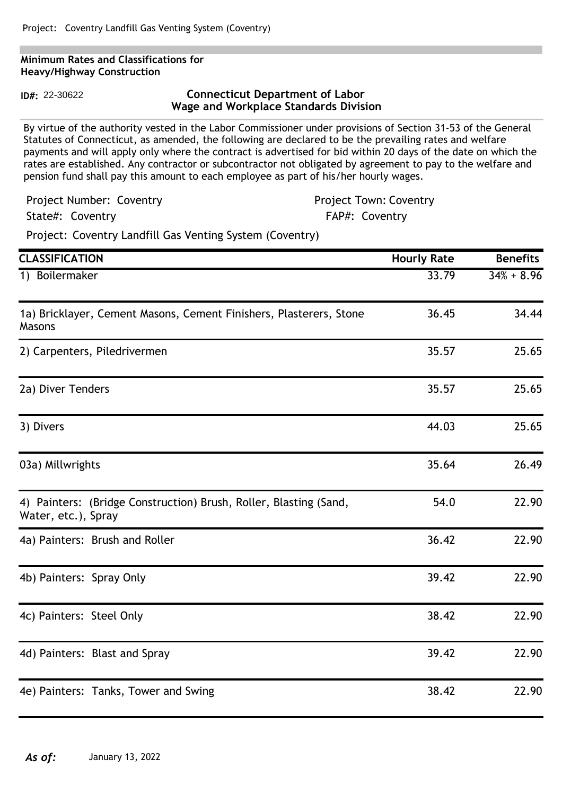#### **Minimum Rates and Classifications for Heavy/Highway Construction**

**ID#:** 22-30622

# **Connecticut Department of Labor Wage and Workplace Standards Division**

By virtue of the authority vested in the Labor Commissioner under provisions of Section 31-53 of the General Statutes of Connecticut, as amended, the following are declared to be the prevailing rates and welfare payments and will apply only where the contract is advertised for bid within 20 days of the date on which the rates are established. Any contractor or subcontractor not obligated by agreement to pay to the welfare and pension fund shall pay this amount to each employee as part of his/her hourly wages.

| Project Number: Coventry | <b>Project Town: Coventry</b> |
|--------------------------|-------------------------------|
| State#: Coventry         | FAP#: Coventry                |

Project: Coventry Landfill Gas Venting System (Coventry)

| <b>CLASSIFICATION</b>                                                                    | <b>Hourly Rate</b> | <b>Benefits</b> |
|------------------------------------------------------------------------------------------|--------------------|-----------------|
| 1) Boilermaker                                                                           | 33.79              | $34\% + 8.96$   |
| 1a) Bricklayer, Cement Masons, Cement Finishers, Plasterers, Stone<br>Masons             | 36.45              | 34.44           |
| 2) Carpenters, Piledrivermen                                                             | 35.57              | 25.65           |
| 2a) Diver Tenders                                                                        | 35.57              | 25.65           |
| 3) Divers                                                                                | 44.03              | 25.65           |
| 03a) Millwrights                                                                         | 35.64              | 26.49           |
| 4) Painters: (Bridge Construction) Brush, Roller, Blasting (Sand,<br>Water, etc.), Spray | 54.0               | 22.90           |
| 4a) Painters: Brush and Roller                                                           | 36.42              | 22.90           |
| 4b) Painters: Spray Only                                                                 | 39.42              | 22.90           |
| 4c) Painters: Steel Only                                                                 | 38.42              | 22.90           |
| 4d) Painters: Blast and Spray                                                            | 39.42              | 22.90           |
| 4e) Painters: Tanks, Tower and Swing                                                     | 38.42              | 22.90           |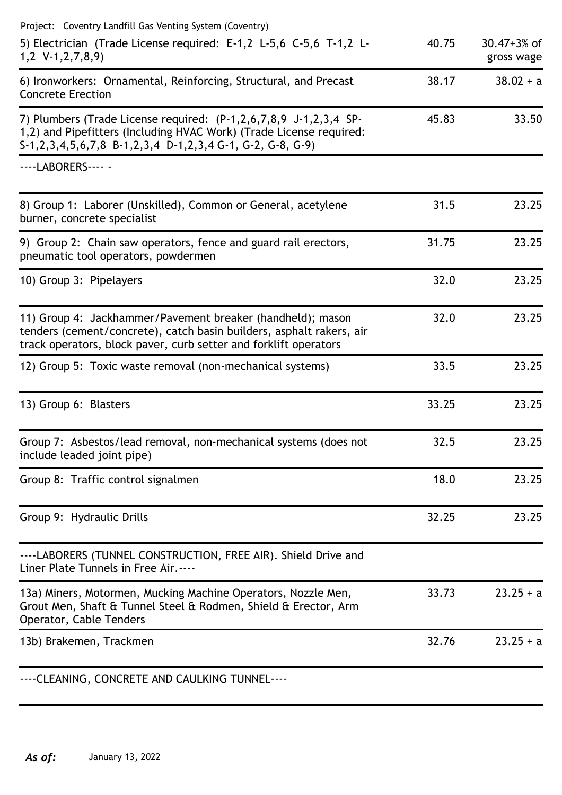| Project: Coventry Landfill Gas Venting System (Coventry)                                                                                                                                                                       |       |                               |
|--------------------------------------------------------------------------------------------------------------------------------------------------------------------------------------------------------------------------------|-------|-------------------------------|
| 5) Electrician (Trade License required: E-1,2 L-5,6 C-5,6 T-1,2 L-<br>$1,2 \text{ V-1},2,7,8,9$                                                                                                                                | 40.75 | $30.47 + 3%$ of<br>gross wage |
| 6) Ironworkers: Ornamental, Reinforcing, Structural, and Precast<br><b>Concrete Erection</b>                                                                                                                                   | 38.17 | $38.02 + a$                   |
| 7) Plumbers (Trade License required: $(P-1, 2, 6, 7, 8, 9, J-1, 2, 3, 4, SP-$<br>1,2) and Pipefitters (Including HVAC Work) (Trade License required:<br>S-1, 2, 3, 4, 5, 6, 7, 8 B-1, 2, 3, 4 D-1, 2, 3, 4 G-1, G-2, G-8, G-9) | 45.83 | 33.50                         |
| ----LABORERS---- -                                                                                                                                                                                                             |       |                               |
| 8) Group 1: Laborer (Unskilled), Common or General, acetylene<br>burner, concrete specialist                                                                                                                                   | 31.5  | 23.25                         |
| 9) Group 2: Chain saw operators, fence and guard rail erectors,<br>pneumatic tool operators, powdermen                                                                                                                         | 31.75 | 23.25                         |
| 10) Group 3: Pipelayers                                                                                                                                                                                                        | 32.0  | 23.25                         |
| 11) Group 4: Jackhammer/Pavement breaker (handheld); mason<br>tenders (cement/concrete), catch basin builders, asphalt rakers, air<br>track operators, block paver, curb setter and forklift operators                         | 32.0  | 23.25                         |
| 12) Group 5: Toxic waste removal (non-mechanical systems)                                                                                                                                                                      | 33.5  | 23.25                         |
| 13) Group 6: Blasters                                                                                                                                                                                                          | 33.25 | 23.25                         |
| Group 7: Asbestos/lead removal, non-mechanical systems (does not<br>include leaded joint pipe)                                                                                                                                 | 32.5  | 23.25                         |
| Group 8: Traffic control signalmen                                                                                                                                                                                             | 18.0  | 23.25                         |
| Group 9: Hydraulic Drills                                                                                                                                                                                                      | 32.25 | 23.25                         |
| ----LABORERS (TUNNEL CONSTRUCTION, FREE AIR). Shield Drive and<br>Liner Plate Tunnels in Free Air.----                                                                                                                         |       |                               |
| 13a) Miners, Motormen, Mucking Machine Operators, Nozzle Men,<br>Grout Men, Shaft & Tunnel Steel & Rodmen, Shield & Erector, Arm<br>Operator, Cable Tenders                                                                    | 33.73 | $23.25 + a$                   |
| 13b) Brakemen, Trackmen                                                                                                                                                                                                        | 32.76 | $23.25 + a$                   |
| CLEANING CONCRETE AND CALILYING TUNNEL                                                                                                                                                                                         |       |                               |

----CLEANING, CONCRETE AND CAULKING TUNNEL----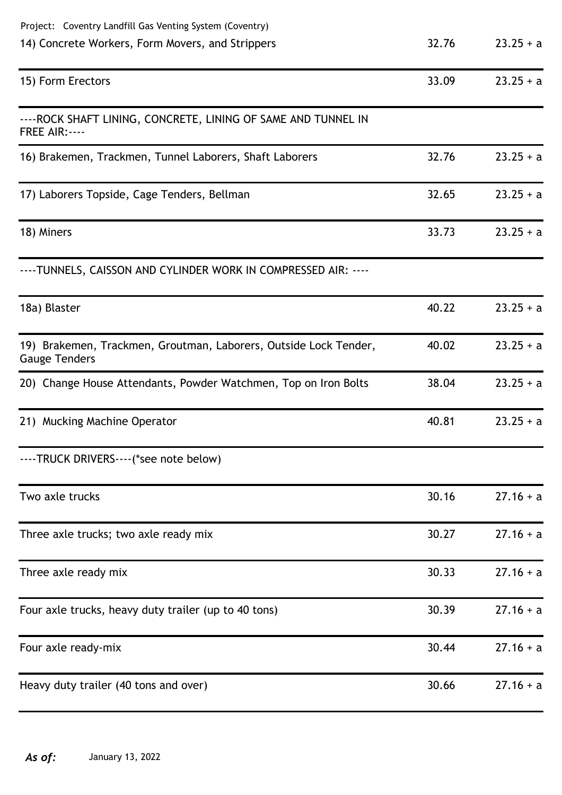| Project: Coventry Landfill Gas Venting System (Coventry)                                 |       |             |
|------------------------------------------------------------------------------------------|-------|-------------|
| 14) Concrete Workers, Form Movers, and Strippers                                         | 32.76 | $23.25 + a$ |
| 15) Form Erectors                                                                        | 33.09 | $23.25 + a$ |
| ---- ROCK SHAFT LINING, CONCRETE, LINING OF SAME AND TUNNEL IN<br><b>FREE AIR: ----</b>  |       |             |
| 16) Brakemen, Trackmen, Tunnel Laborers, Shaft Laborers                                  | 32.76 | $23.25 + a$ |
| 17) Laborers Topside, Cage Tenders, Bellman                                              | 32.65 | $23.25 + a$ |
| 18) Miners                                                                               | 33.73 | $23.25 + a$ |
| ----TUNNELS, CAISSON AND CYLINDER WORK IN COMPRESSED AIR: ----                           |       |             |
| 18a) Blaster                                                                             | 40.22 | $23.25 + a$ |
| 19) Brakemen, Trackmen, Groutman, Laborers, Outside Lock Tender,<br><b>Gauge Tenders</b> | 40.02 | $23.25 + a$ |
| 20) Change House Attendants, Powder Watchmen, Top on Iron Bolts                          | 38.04 | $23.25 + a$ |
| 21) Mucking Machine Operator                                                             | 40.81 | $23.25 + a$ |
| ----TRUCK DRIVERS----(*see note below)                                                   |       |             |
| Two axle trucks                                                                          | 30.16 | $27.16 + a$ |
| Three axle trucks; two axle ready mix                                                    | 30.27 | $27.16 + a$ |
| Three axle ready mix                                                                     | 30.33 | $27.16 + a$ |
| Four axle trucks, heavy duty trailer (up to 40 tons)                                     | 30.39 | $27.16 + a$ |
| Four axle ready-mix                                                                      | 30.44 | $27.16 + a$ |
| Heavy duty trailer (40 tons and over)                                                    | 30.66 | $27.16 + a$ |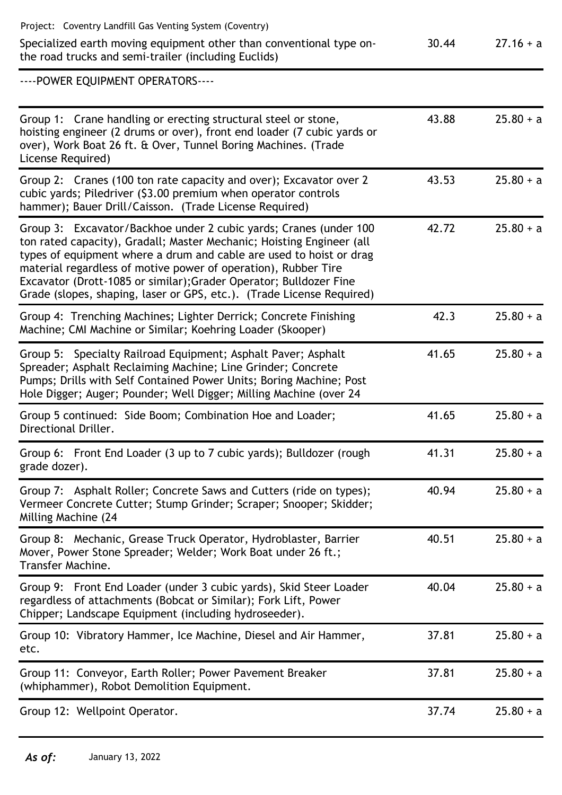| Project: Coventry Landfill Gas Venting System (Coventry)                                                                                                                                                                                                                                                                                                                                                                           |       |             |
|------------------------------------------------------------------------------------------------------------------------------------------------------------------------------------------------------------------------------------------------------------------------------------------------------------------------------------------------------------------------------------------------------------------------------------|-------|-------------|
| Specialized earth moving equipment other than conventional type on-<br>the road trucks and semi-trailer (including Euclids)                                                                                                                                                                                                                                                                                                        | 30.44 | $27.16 + a$ |
| ---- POWER EQUIPMENT OPERATORS----                                                                                                                                                                                                                                                                                                                                                                                                 |       |             |
| Group 1: Crane handling or erecting structural steel or stone,<br>hoisting engineer (2 drums or over), front end loader (7 cubic yards or<br>over), Work Boat 26 ft. & Over, Tunnel Boring Machines. (Trade<br>License Required)                                                                                                                                                                                                   | 43.88 | $25.80 + a$ |
| Group 2: Cranes (100 ton rate capacity and over); Excavator over 2<br>cubic yards; Piledriver (\$3.00 premium when operator controls<br>hammer); Bauer Drill/Caisson. (Trade License Required)                                                                                                                                                                                                                                     | 43.53 | $25.80 + a$ |
| Group 3: Excavator/Backhoe under 2 cubic yards; Cranes (under 100<br>ton rated capacity), Gradall; Master Mechanic; Hoisting Engineer (all<br>types of equipment where a drum and cable are used to hoist or drag<br>material regardless of motive power of operation), Rubber Tire<br>Excavator (Drott-1085 or similar); Grader Operator; Bulldozer Fine<br>Grade (slopes, shaping, laser or GPS, etc.). (Trade License Required) | 42.72 | $25.80 + a$ |
| Group 4: Trenching Machines; Lighter Derrick; Concrete Finishing<br>Machine; CMI Machine or Similar; Koehring Loader (Skooper)                                                                                                                                                                                                                                                                                                     | 42.3  | $25.80 + a$ |
| Group 5: Specialty Railroad Equipment; Asphalt Paver; Asphalt<br>Spreader; Asphalt Reclaiming Machine; Line Grinder; Concrete<br>Pumps; Drills with Self Contained Power Units; Boring Machine; Post<br>Hole Digger; Auger; Pounder; Well Digger; Milling Machine (over 24                                                                                                                                                         | 41.65 | $25.80 + a$ |
| Group 5 continued: Side Boom; Combination Hoe and Loader;<br>Directional Driller.                                                                                                                                                                                                                                                                                                                                                  | 41.65 | $25.80 + a$ |
| Group 6: Front End Loader (3 up to 7 cubic yards); Bulldozer (rough<br>grade dozer).                                                                                                                                                                                                                                                                                                                                               | 41.31 | $25.80 + a$ |
| Group 7: Asphalt Roller; Concrete Saws and Cutters (ride on types);<br>Vermeer Concrete Cutter; Stump Grinder; Scraper; Snooper; Skidder;<br>Milling Machine (24                                                                                                                                                                                                                                                                   | 40.94 | $25.80 + a$ |
| Group 8: Mechanic, Grease Truck Operator, Hydroblaster, Barrier<br>Mover, Power Stone Spreader; Welder; Work Boat under 26 ft.;<br>Transfer Machine.                                                                                                                                                                                                                                                                               | 40.51 | $25.80 + a$ |
| Group 9: Front End Loader (under 3 cubic yards), Skid Steer Loader<br>regardless of attachments (Bobcat or Similar); Fork Lift, Power<br>Chipper; Landscape Equipment (including hydroseeder).                                                                                                                                                                                                                                     | 40.04 | $25.80 + a$ |
| Group 10: Vibratory Hammer, Ice Machine, Diesel and Air Hammer,<br>etc.                                                                                                                                                                                                                                                                                                                                                            | 37.81 | $25.80 + a$ |
| Group 11: Conveyor, Earth Roller; Power Pavement Breaker<br>(whiphammer), Robot Demolition Equipment.                                                                                                                                                                                                                                                                                                                              | 37.81 | $25.80 + a$ |
| Group 12: Wellpoint Operator.                                                                                                                                                                                                                                                                                                                                                                                                      | 37.74 | $25.80 + a$ |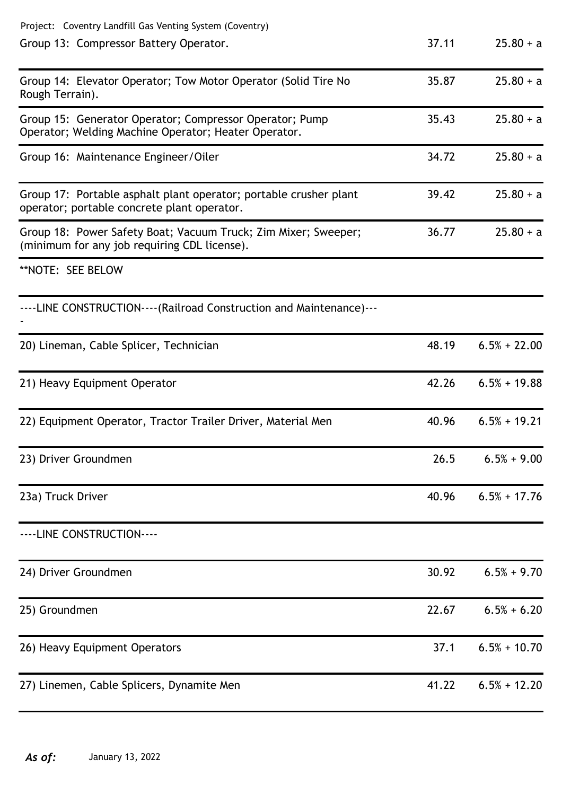| Project: Coventry Landfill Gas Venting System (Coventry)                                                         |       |                |
|------------------------------------------------------------------------------------------------------------------|-------|----------------|
| Group 13: Compressor Battery Operator.                                                                           | 37.11 | $25.80 + a$    |
| Group 14: Elevator Operator; Tow Motor Operator (Solid Tire No<br>Rough Terrain).                                | 35.87 | $25.80 + a$    |
| Group 15: Generator Operator; Compressor Operator; Pump<br>Operator; Welding Machine Operator; Heater Operator.  | 35.43 | $25.80 + a$    |
| Group 16: Maintenance Engineer/Oiler                                                                             | 34.72 | $25.80 + a$    |
| Group 17: Portable asphalt plant operator; portable crusher plant<br>operator; portable concrete plant operator. | 39.42 | $25.80 + a$    |
| Group 18: Power Safety Boat; Vacuum Truck; Zim Mixer; Sweeper;<br>(minimum for any job requiring CDL license).   | 36.77 | $25.80 + a$    |
| **NOTE: SEE BELOW                                                                                                |       |                |
| ----LINE CONSTRUCTION---- (Railroad Construction and Maintenance)---                                             |       |                |
| 20) Lineman, Cable Splicer, Technician                                                                           | 48.19 | $6.5% + 22.00$ |
| 21) Heavy Equipment Operator                                                                                     | 42.26 | $6.5% + 19.88$ |
| 22) Equipment Operator, Tractor Trailer Driver, Material Men                                                     | 40.96 | $6.5% + 19.21$ |
| 23) Driver Groundmen                                                                                             | 26.5  | $6.5% + 9.00$  |
| 23a) Truck Driver                                                                                                | 40.96 | $6.5% + 17.76$ |
| ----LINE CONSTRUCTION----                                                                                        |       |                |
| 24) Driver Groundmen                                                                                             | 30.92 | $6.5% + 9.70$  |
| 25) Groundmen                                                                                                    | 22.67 | $6.5% + 6.20$  |
| 26) Heavy Equipment Operators                                                                                    | 37.1  | $6.5% + 10.70$ |
| 27) Linemen, Cable Splicers, Dynamite Men                                                                        | 41.22 | $6.5% + 12.20$ |
|                                                                                                                  |       |                |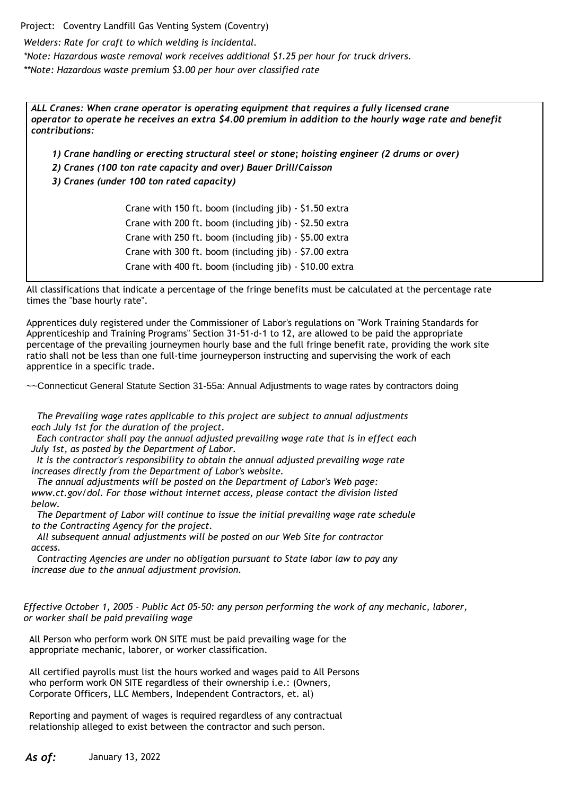Project: Coventry Landfill Gas Venting System (Coventry)

*Welders: Rate for craft to which welding is incidental.*

*\*Note: Hazardous waste removal work receives additional \$1.25 per hour for truck drivers.*

*\*\*Note: Hazardous waste premium \$3.00 per hour over classified rate*

*ALL Cranes: When crane operator is operating equipment that requires a fully licensed crane operator to operate he receives an extra \$4.00 premium in addition to the hourly wage rate and benefit contributions:*

*1) Crane handling or erecting structural steel or stone; hoisting engineer (2 drums or over)*

*2) Cranes (100 ton rate capacity and over) Bauer Drill/Caisson*

*3) Cranes (under 100 ton rated capacity)*

Crane with 150 ft. boom (including jib) - \$1.50 extra Crane with 200 ft. boom (including jib) - \$2.50 extra Crane with 250 ft. boom (including jib) - \$5.00 extra Crane with 300 ft. boom (including jib) - \$7.00 extra Crane with 400 ft. boom (including jib) - \$10.00 extra

All classifications that indicate a percentage of the fringe benefits must be calculated at the percentage rate times the "base hourly rate".

Apprentices duly registered under the Commissioner of Labor's regulations on "Work Training Standards for Apprenticeship and Training Programs" Section 31-51-d-1 to 12, are allowed to be paid the appropriate percentage of the prevailing journeymen hourly base and the full fringe benefit rate, providing the work site ratio shall not be less than one full-time journeyperson instructing and supervising the work of each apprentice in a specific trade.

~~Connecticut General Statute Section 31-55a: Annual Adjustments to wage rates by contractors doing

 *The Prevailing wage rates applicable to this project are subject to annual adjustments each July 1st for the duration of the project.*

 *Each contractor shall pay the annual adjusted prevailing wage rate that is in effect each July 1st, as posted by the Department of Labor.*

 *It is the contractor's responsibility to obtain the annual adjusted prevailing wage rate increases directly from the Department of Labor's website.*

 *The annual adjustments will be posted on the Department of Labor's Web page: www.ct.gov/dol. For those without internet access, please contact the division listed below.*

 *The Department of Labor will continue to issue the initial prevailing wage rate schedule to the Contracting Agency for the project.*

 *All subsequent annual adjustments will be posted on our Web Site for contractor access.*

 *Contracting Agencies are under no obligation pursuant to State labor law to pay any increase due to the annual adjustment provision.*

*Effective October 1, 2005 - Public Act 05-50: any person performing the work of any mechanic, laborer, or worker shall be paid prevailing wage*

All Person who perform work ON SITE must be paid prevailing wage for the appropriate mechanic, laborer, or worker classification.

All certified payrolls must list the hours worked and wages paid to All Persons who perform work ON SITE regardless of their ownership i.e.: (Owners, Corporate Officers, LLC Members, Independent Contractors, et. al)

Reporting and payment of wages is required regardless of any contractual relationship alleged to exist between the contractor and such person.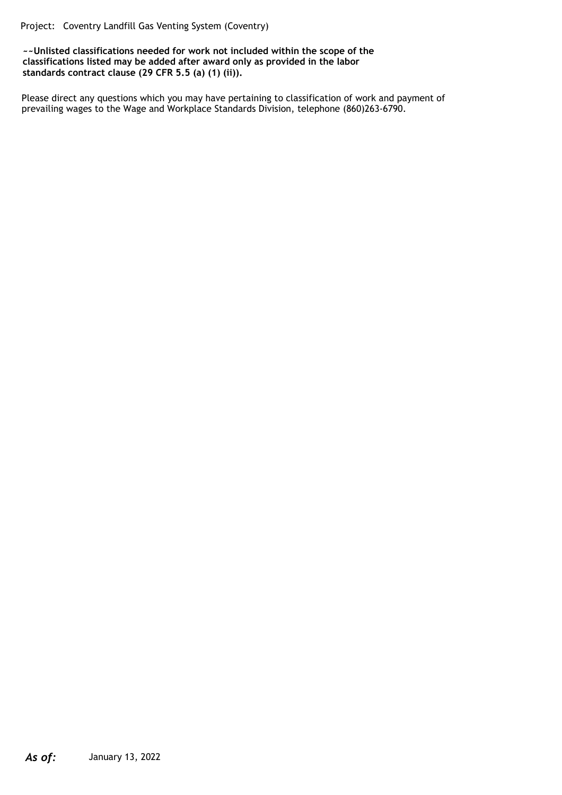Project: Coventry Landfill Gas Venting System (Coventry)

**~~Unlisted classifications needed for work not included within the scope of the classifications listed may be added after award only as provided in the labor standards contract clause (29 CFR 5.5 (a) (1) (ii)).**

Please direct any questions which you may have pertaining to classification of work and payment of prevailing wages to the Wage and Workplace Standards Division, telephone (860)263-6790.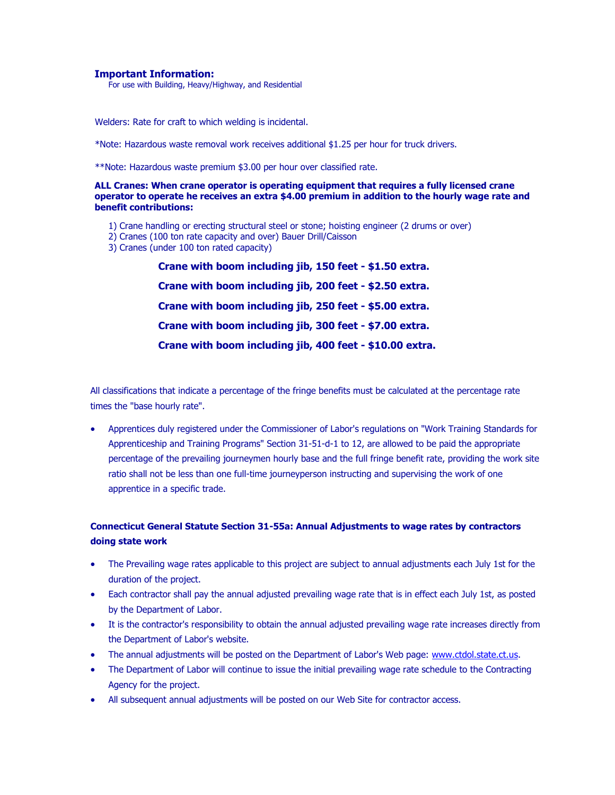#### **Important Information:**

For use with Building, Heavy/Highway, and Residential

Welders: Rate for craft to which welding is incidental.

\*Note: Hazardous waste removal work receives additional \$1.25 per hour for truck drivers.

\*\*Note: Hazardous waste premium \$3.00 per hour over classified rate.

#### **ALL Cranes: When crane operator is operating equipment that requires a fully licensed crane operator to operate he receives an extra \$4.00 premium in addition to the hourly wage rate and benefit contributions:**

- 1) Crane handling or erecting structural steel or stone; hoisting engineer (2 drums or over)
- 2) Cranes (100 ton rate capacity and over) Bauer Drill/Caisson
- 3) Cranes (under 100 ton rated capacity)

**Crane with boom including jib, 150 feet - \$1.50 extra. Crane with boom including jib, 200 feet - \$2.50 extra. Crane with boom including jib, 250 feet - \$5.00 extra. Crane with boom including jib, 300 feet - \$7.00 extra. Crane with boom including jib, 400 feet - \$10.00 extra.**

All classifications that indicate a percentage of the fringe benefits must be calculated at the percentage rate times the "base hourly rate".

 Apprentices duly registered under the Commissioner of Labor's regulations on "Work Training Standards for Apprenticeship and Training Programs" Section 31-51-d-1 to 12, are allowed to be paid the appropriate percentage of the prevailing journeymen hourly base and the full fringe benefit rate, providing the work site ratio shall not be less than one full-time journeyperson instructing and supervising the work of one apprentice in a specific trade.

# **Connecticut General Statute Section 31-55a: Annual Adjustments to wage rates by contractors doing state work**

- The Prevailing wage rates applicable to this project are subject to annual adjustments each July 1st for the duration of the project.
- Each contractor shall pay the annual adjusted prevailing wage rate that is in effect each July 1st, as posted by the Department of Labor.
- It is the contractor's responsibility to obtain the annual adjusted prevailing wage rate increases directly from the Department of Labor's website.
- The annual adjustments will be posted on the Department of Labor's Web page: [www.ctdol.state.ct.us.](http://www.ctdol.state.ct.us/)
- The Department of Labor will continue to issue the initial prevailing wage rate schedule to the Contracting Agency for the project.
- All subsequent annual adjustments will be posted on our Web Site for contractor access.